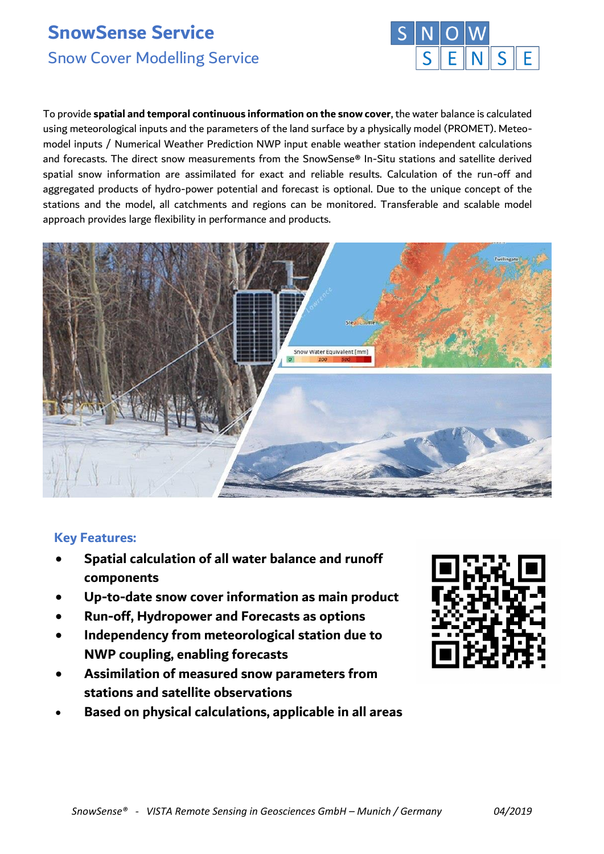# **SnowSense Service** Snow Cover Modelling Service



To provide **spatial and temporal continuous information on the snow cover**, the water balance is calculated using meteorological inputs and the parameters of the land surface by a physically model (PROMET). Meteomodel inputs / Numerical Weather Prediction NWP input enable weather station independent calculations and forecasts. The direct snow measurements from the SnowSense® In-Situ stations and satellite derived spatial snow information are assimilated for exact and reliable results. Calculation of the run-off and aggregated products of hydro-power potential and forecast is optional. Due to the unique concept of the stations and the model, all catchments and regions can be monitored. Transferable and scalable model approach provides large flexibility in performance and products.



## **Key Features:**

- **Spatial calculation of all water balance and runoff components**
- **Up-to-date snow cover information as main product**
- **Run-off, Hydropower and Forecasts as options**
- **Independency from meteorological station due to NWP coupling, enabling forecasts**
- **Assimilation of measured snow parameters from stations and satellite observations**
- **Based on physical calculations, applicable in all areas**